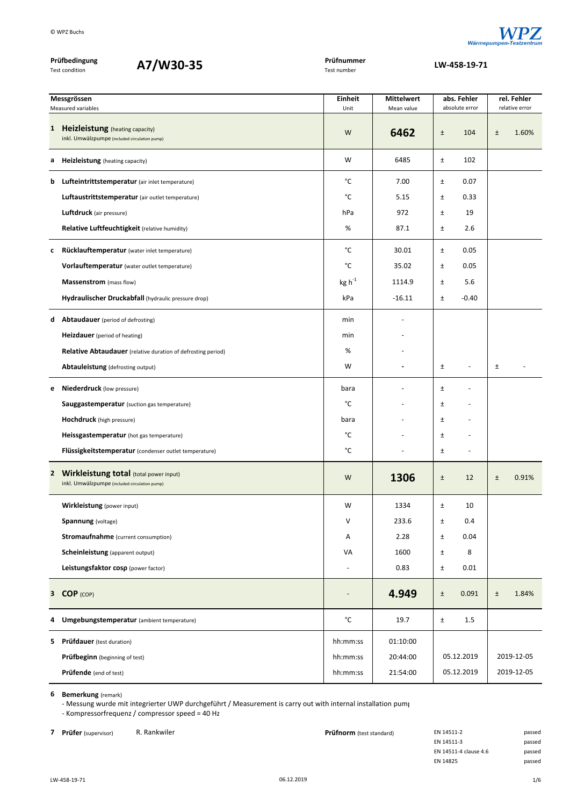

| Prüfbedingung<br>A7/W30-35<br><b>Test condition</b> |                                                                                           | Prüfnummer<br>Test number |                   | LW-458-19-71                      |                |  |  |  |
|-----------------------------------------------------|-------------------------------------------------------------------------------------------|---------------------------|-------------------|-----------------------------------|----------------|--|--|--|
|                                                     | Messgrössen                                                                               | Einheit                   | <b>Mittelwert</b> | abs. Fehler                       | rel. Fehler    |  |  |  |
|                                                     | Measured variables                                                                        | Unit                      | Mean value        | absolute error                    | relative error |  |  |  |
|                                                     | 1 Heizleistung (heating capacity)<br>inkl. Umwälzpumpe (included circulation pump)        | W                         | 6462              | 104<br>$\pm$                      | 1.60%<br>$\pm$ |  |  |  |
| a                                                   | <b>Heizleistung</b> (heating capacity)                                                    | W                         | 6485              | $\pm$<br>102                      |                |  |  |  |
| b                                                   | Lufteintrittstemperatur (air inlet temperature)                                           | °C                        | 7.00              | 0.07<br>Ŧ                         |                |  |  |  |
|                                                     | Luftaustrittstemperatur (air outlet temperature)                                          | °C                        | 5.15              | $\pm$<br>0.33                     |                |  |  |  |
|                                                     | Luftdruck (air pressure)                                                                  | hPa                       | 972               | $\pm$<br>19                       |                |  |  |  |
|                                                     | Relative Luftfeuchtigkeit (relative humidity)                                             | %                         | 87.1              | 2.6<br>$\pm$                      |                |  |  |  |
| c                                                   | Rücklauftemperatur (water inlet temperature)                                              | °C                        | 30.01             | 0.05<br>Ŧ                         |                |  |  |  |
|                                                     | Vorlauftemperatur (water outlet temperature)                                              | °C                        | 35.02             | 0.05<br>$\pm$                     |                |  |  |  |
|                                                     | Massenstrom (mass flow)                                                                   | $kg h^{-1}$               | 1114.9            | 5.6<br>$\pm$                      |                |  |  |  |
|                                                     | Hydraulischer Druckabfall (hydraulic pressure drop)                                       | kPa                       | $-16.11$          | $-0.40$<br>Ŧ                      |                |  |  |  |
| d                                                   | <b>Abtaudauer</b> (period of defrosting)                                                  | min                       |                   |                                   |                |  |  |  |
|                                                     | Heizdauer (period of heating)                                                             | min                       |                   |                                   |                |  |  |  |
|                                                     | <b>Relative Abtaudauer</b> (relative duration of defrosting period)                       | %                         |                   |                                   |                |  |  |  |
|                                                     | Abtauleistung (defrosting output)                                                         | W                         |                   | Ŧ<br>$\overline{\phantom{a}}$     | $\pm$          |  |  |  |
| е                                                   | <b>Niederdruck</b> (low pressure)                                                         | bara                      |                   | Ŧ                                 |                |  |  |  |
|                                                     | <b>Sauggastemperatur</b> (suction gas temperature)                                        | °C                        |                   | $\pm$                             |                |  |  |  |
|                                                     | <b>Hochdruck</b> (high pressure)                                                          | bara                      |                   | Ŧ                                 |                |  |  |  |
|                                                     | Heissgastemperatur (hot gas temperature)                                                  | °C                        |                   | $\pm$<br>÷                        |                |  |  |  |
|                                                     | Flüssigkeitstemperatur (condenser outlet temperature)                                     | °C                        |                   | $\pm$<br>$\overline{\phantom{a}}$ |                |  |  |  |
|                                                     | 2 Wirkleistung total (total power input)<br>inkl. Umwälzpumpe (included circulation pump) | W                         | 1306              | 12<br>±                           | 0.91%<br>$\pm$ |  |  |  |
|                                                     | Wirkleistung (power input)                                                                | W                         | 1334              | $\pm$<br>10                       |                |  |  |  |
|                                                     | <b>Spannung</b> (voltage)                                                                 | V                         | 233.6             | 0.4<br>Ŧ                          |                |  |  |  |
|                                                     | <b>Stromaufnahme</b> (current consumption)                                                | Α                         | 2.28              | 0.04<br>Ŧ                         |                |  |  |  |
|                                                     | Scheinleistung (apparent output)                                                          | VA                        | 1600              | 8<br>$\pm$                        |                |  |  |  |
|                                                     | Leistungsfaktor cosp (power factor)                                                       |                           | 0.83              | 0.01<br>Ŧ.                        |                |  |  |  |
|                                                     | 3 COP (COP)                                                                               |                           | 4.949             | 0.091<br>$\pm$                    | 1.84%<br>$\pm$ |  |  |  |
| 4                                                   | Umgebungstemperatur (ambient temperature)                                                 | $^{\circ}$ C              | 19.7              | $1.5\,$<br>$\pm$                  |                |  |  |  |
|                                                     | <b>5</b> Prüfdauer (test duration)                                                        | hh:mm:ss                  | 01:10:00          |                                   |                |  |  |  |
|                                                     | <b>Prüfbeginn</b> (beginning of test)                                                     | hh:mm:ss                  | 20:44:00          | 05.12.2019                        | 2019-12-05     |  |  |  |
|                                                     | Prüfende (end of test)                                                                    | hh:mm:ss                  | 21:54:00          | 05.12.2019                        | 2019-12-05     |  |  |  |

‐ Messung wurde mit integrierter UWP durchgeführt / Measurement is carry out with internal installation pump ‐ Kompressorfrequenz / compressor speed = 40 Hz

**7 Prüfer** (supervisor) R. Rankwiler **Prüfnorm** (test standard) EN 14511-2 passed

| EN 14511-2            | passec |
|-----------------------|--------|
| EN 14511-3            | passec |
| EN 14511-4 clause 4.6 | passec |
| EN 14825              | passec |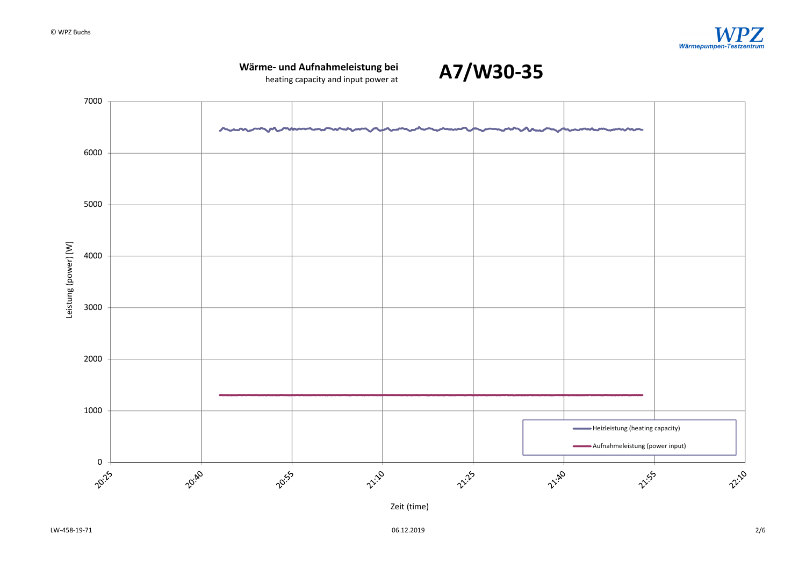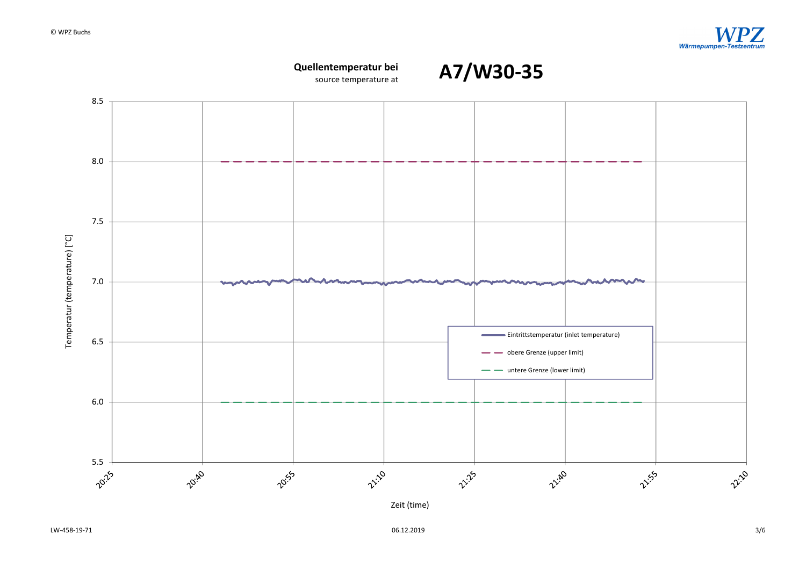

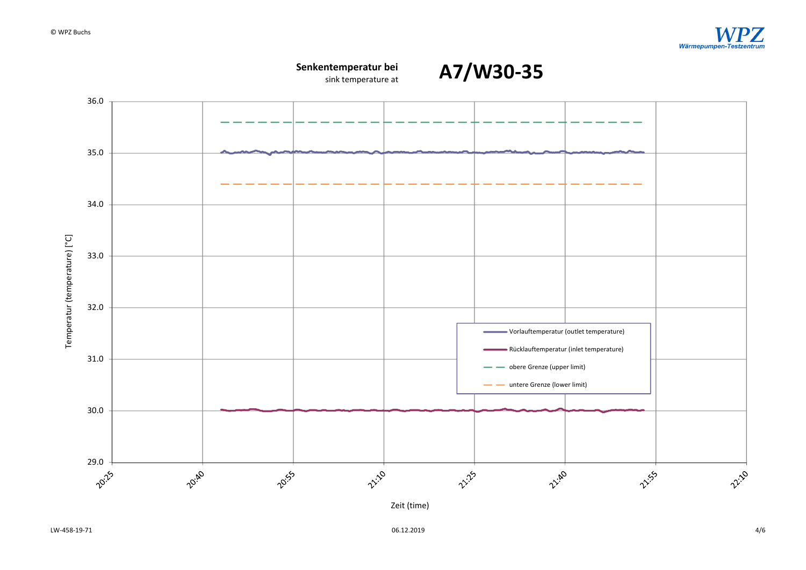

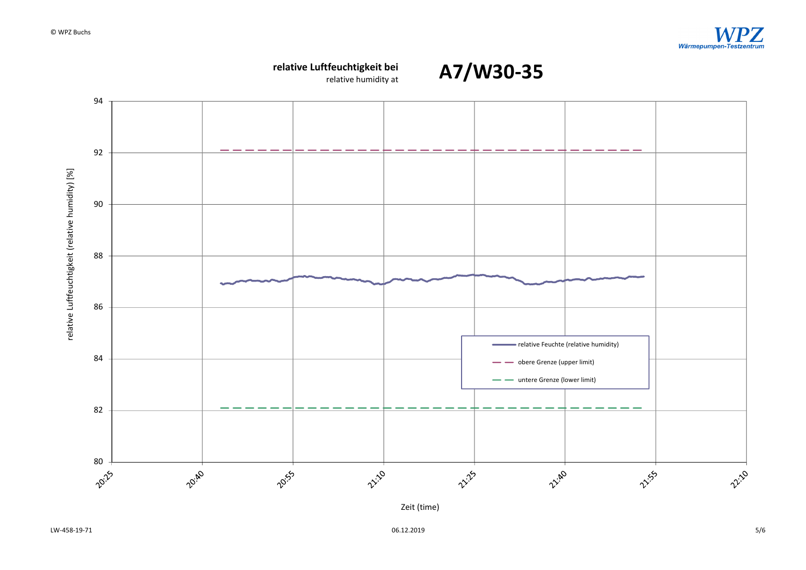

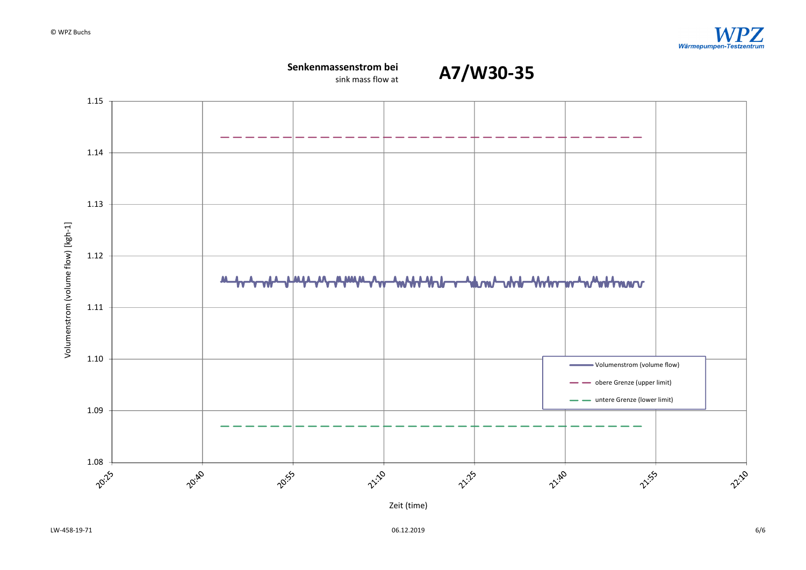

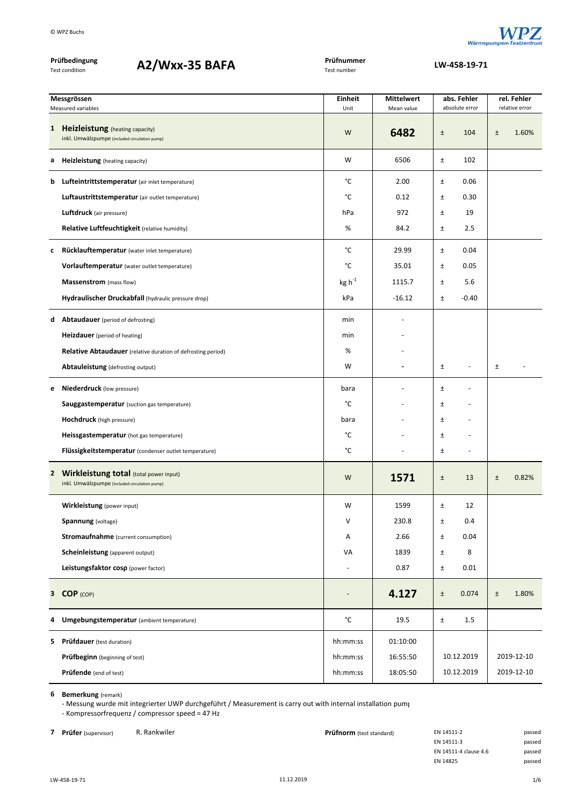

| Prüfbedingung<br>A2/Wxx-35 BAFA<br><b>Test condition</b> |                                                                                                | Prüfnummer<br>Test number | LW-458-19-71                    |                                       |                               |
|----------------------------------------------------------|------------------------------------------------------------------------------------------------|---------------------------|---------------------------------|---------------------------------------|-------------------------------|
|                                                          |                                                                                                |                           |                                 |                                       |                               |
|                                                          | Messgrössen<br>Measured variables                                                              | Einheit<br>Unit           | <b>Mittelwert</b><br>Mean value | abs. Fehler<br>absolute error         | rel. Fehler<br>relative error |
| $\mathbf{1}$                                             | Heizleistung (heating capacity)<br>inkl. Umwälzpumpe (included circulation pump)               | W                         | 6482                            | $\pm$<br>104                          | $\pm$<br>1.60%                |
| а                                                        | <b>Heizleistung</b> (heating capacity)                                                         | W                         | 6506                            | ±<br>102                              |                               |
| b                                                        | Lufteintrittstemperatur (air inlet temperature)                                                | °C                        | 2.00                            | 0.06<br>Ŧ                             |                               |
|                                                          | Luftaustrittstemperatur (air outlet temperature)                                               | °C                        | 0.12                            | $\pm$<br>0.30                         |                               |
|                                                          | <b>Luftdruck</b> (air pressure)                                                                | hPa                       | 972                             | 19<br>$\pm$                           |                               |
|                                                          | Relative Luftfeuchtigkeit (relative humidity)                                                  | %                         | 84.2                            | 2.5<br>$\pm$                          |                               |
| c                                                        | Rücklauftemperatur (water inlet temperature)                                                   | °C                        | 29.99                           | 0.04<br>$\pm$                         |                               |
|                                                          | Vorlauftemperatur (water outlet temperature)                                                   | °C                        | 35.01                           | 0.05<br>Ŧ.                            |                               |
|                                                          | Massenstrom (mass flow)                                                                        | $kg h^{-1}$               | 1115.7                          | 5.6<br>$\pm$                          |                               |
|                                                          | Hydraulischer Druckabfall (hydraulic pressure drop)                                            | kPa                       | $-16.12$                        | $-0.40$<br>$\pm$                      |                               |
| d                                                        | <b>Abtaudauer</b> (period of defrosting)                                                       | min                       |                                 |                                       |                               |
|                                                          | <b>Heizdauer</b> (period of heating)                                                           | min                       |                                 |                                       |                               |
|                                                          | <b>Relative Abtaudauer</b> (relative duration of defrosting period)                            | %                         |                                 |                                       |                               |
|                                                          | Abtauleistung (defrosting output)                                                              | W                         |                                 | $\pm$<br>$\overline{a}$               | $\pm$                         |
| е                                                        | <b>Niederdruck</b> (low pressure)                                                              | bara                      |                                 | $\pm$                                 |                               |
|                                                          | <b>Sauggastemperatur</b> (suction gas temperature)                                             | °C                        |                                 | Ŧ                                     |                               |
|                                                          | <b>Hochdruck</b> (high pressure)                                                               | bara                      |                                 | Ŧ                                     |                               |
|                                                          | Heissgastemperatur (hot gas temperature)                                                       | °C                        |                                 | $\pm$                                 |                               |
|                                                          | Flüssigkeitstemperatur (condenser outlet temperature)                                          | °C                        |                                 | $\pm$<br>$\qquad \qquad \blacksquare$ |                               |
| $\mathbf{2}$                                             | <b>Wirkleistung total (total power input)</b><br>inkl. Umwälzpumpe (included circulation pump) | W                         | 1571                            | $\pm$<br>13                           | 0.82%<br>$\pm$                |
|                                                          | Wirkleistung (power input)                                                                     | W                         | 1599                            | $\pm$<br>12                           |                               |
|                                                          | <b>Spannung</b> (voltage)                                                                      | V                         | 230.8                           | 0.4<br>$\pm$                          |                               |
|                                                          | <b>Stromaufnahme</b> (current consumption)                                                     | Α                         | 2.66                            | $\pm$<br>0.04                         |                               |
|                                                          | Scheinleistung (apparent output)                                                               | VA                        | 1839                            | $\pm$<br>8                            |                               |
|                                                          | Leistungsfaktor cosp (power factor)                                                            |                           | 0.87                            | $\pm$<br>0.01                         |                               |
|                                                          | 3 COP (COP)                                                                                    |                           | 4.127                           | $\pm$<br>0.074                        | 1.80%<br>$\pm$                |
| 4                                                        | Umgebungstemperatur (ambient temperature)                                                      | $^{\circ}$ C              | 19.5                            | $\pm$<br>1.5                          |                               |
| 5.                                                       | Prüfdauer (test duration)                                                                      | hh:mm:ss                  | 01:10:00                        |                                       |                               |
|                                                          | Prüfbeginn (beginning of test)                                                                 | hh:mm:ss                  | 16:55:50                        | 10.12.2019                            | 2019-12-10                    |
|                                                          | Prüfende (end of test)                                                                         | hh:mm:ss                  | 18:05:50                        | 10.12.2019                            | 2019-12-10                    |

‐ Messung wurde mit integrierter UWP durchgeführt / Measurement is carry out with internal installation pump ‐ Kompressorfrequenz / compressor speed = 47 Hz

**7 Prüfer** (supervisor) R. Rankwiler **Prüfnorm** (test standard) EN 14511-2 passed

| EN 14511-2            | passec |
|-----------------------|--------|
| EN 14511-3            | passec |
| EN 14511-4 clause 4.6 | passec |
| <b>EN 14825</b>       | passec |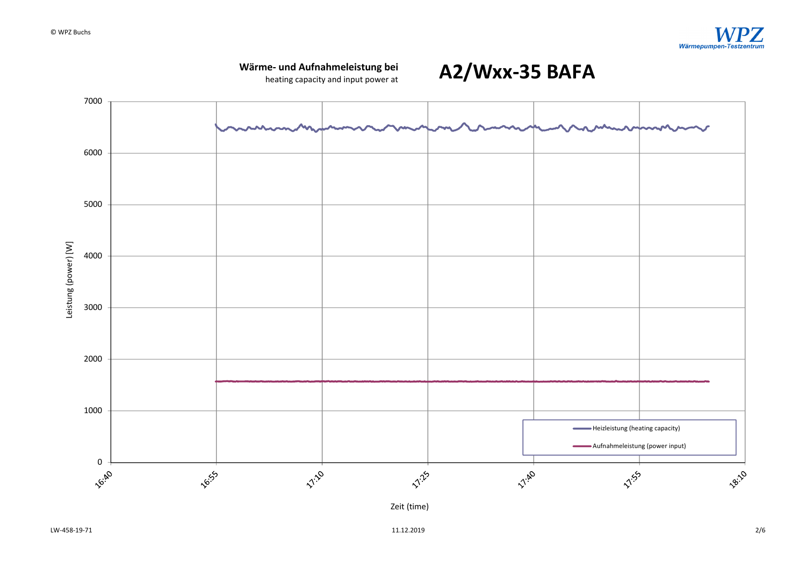



 $11.12.2019$   $2/6$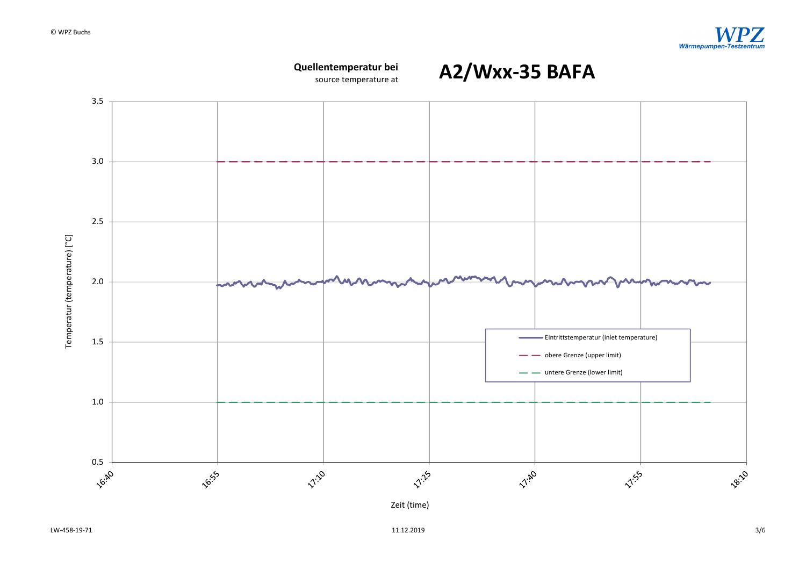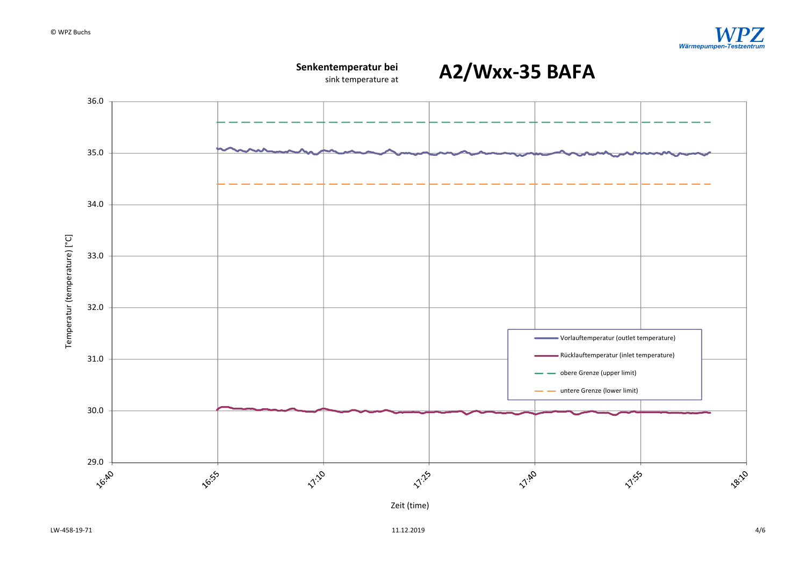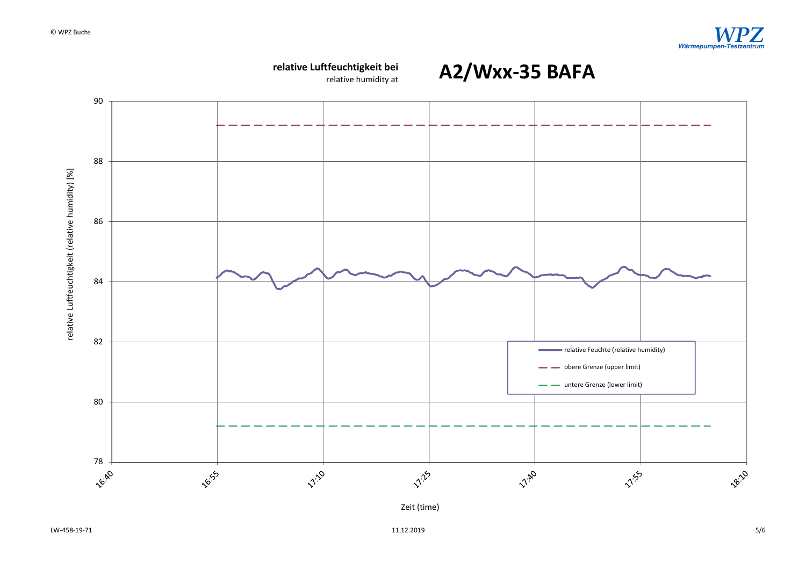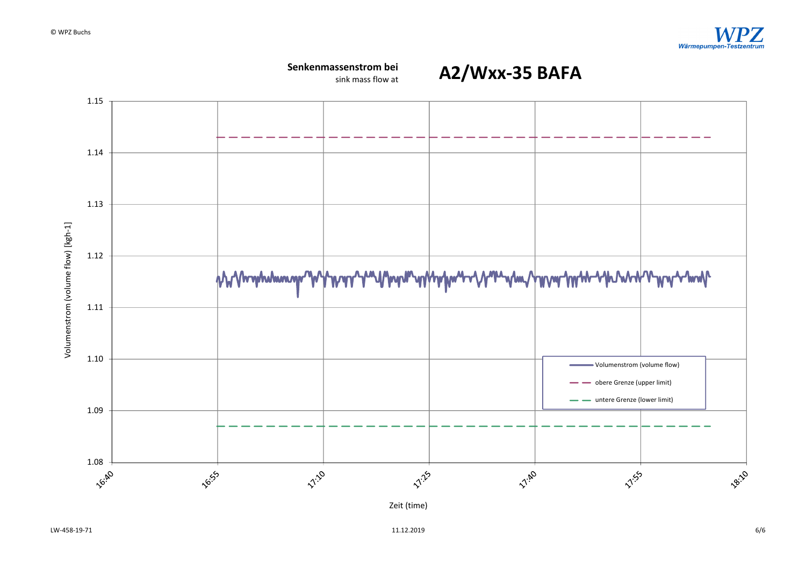

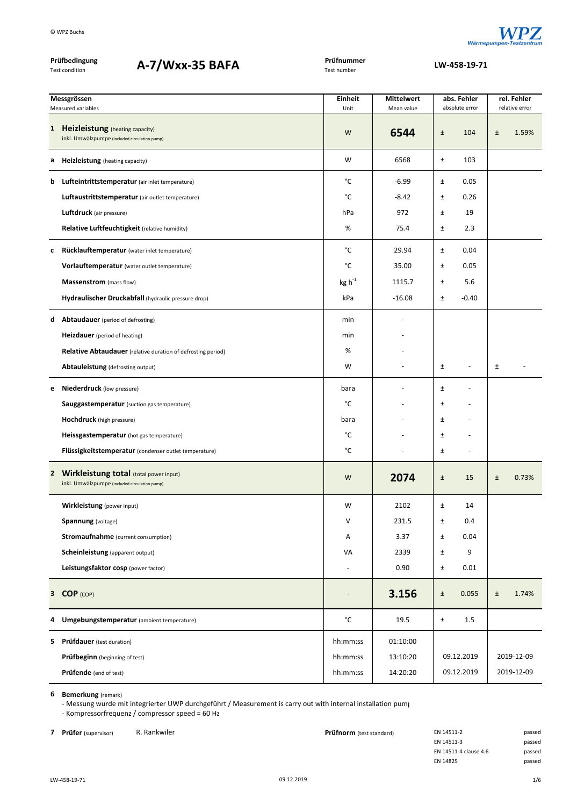

| Prüfbedingung<br>A-7/Wxx-35 BAFA<br><b>Test condition</b> |                                                                                                | Prüfnummer<br>Test number | LW-458-19-71                    |                               |                               |
|-----------------------------------------------------------|------------------------------------------------------------------------------------------------|---------------------------|---------------------------------|-------------------------------|-------------------------------|
|                                                           |                                                                                                |                           |                                 |                               |                               |
|                                                           | Messgrössen<br>Measured variables                                                              | Einheit<br>Unit           | <b>Mittelwert</b><br>Mean value | abs. Fehler<br>absolute error | rel. Fehler<br>relative error |
| $\mathbf{1}$                                              | Heizleistung (heating capacity)<br>inkl. Umwälzpumpe (included circulation pump)               | W                         | 6544                            | $\pm$<br>104                  | $\pm$<br>1.59%                |
| а                                                         | <b>Heizleistung</b> (heating capacity)                                                         | W                         | 6568                            | Ŧ<br>103                      |                               |
| b                                                         | Lufteintrittstemperatur (air inlet temperature)                                                | °C                        | $-6.99$                         | 0.05<br>Ŧ                     |                               |
|                                                           | Luftaustrittstemperatur (air outlet temperature)                                               | °C                        | $-8.42$                         | $\pm$<br>0.26                 |                               |
|                                                           | <b>Luftdruck</b> (air pressure)                                                                | hPa                       | 972                             | 19<br>$\pm$                   |                               |
|                                                           | Relative Luftfeuchtigkeit (relative humidity)                                                  | %                         | 75.4                            | $\pm$<br>2.3                  |                               |
| c                                                         | Rücklauftemperatur (water inlet temperature)                                                   | °C                        | 29.94                           | 0.04<br>$\pm$                 |                               |
|                                                           | Vorlauftemperatur (water outlet temperature)                                                   | °C                        | 35.00                           | 0.05<br>Ŧ.                    |                               |
|                                                           | Massenstrom (mass flow)                                                                        | $kg h^{-1}$               | 1115.7                          | 5.6<br>$\pm$                  |                               |
|                                                           | Hydraulischer Druckabfall (hydraulic pressure drop)                                            | kPa                       | $-16.08$                        | $-0.40$<br>$\pm$              |                               |
| d                                                         | <b>Abtaudauer</b> (period of defrosting)                                                       | min                       |                                 |                               |                               |
|                                                           | <b>Heizdauer</b> (period of heating)                                                           | min                       |                                 |                               |                               |
|                                                           | <b>Relative Abtaudauer</b> (relative duration of defrosting period)                            | %                         |                                 |                               |                               |
|                                                           | Abtauleistung (defrosting output)                                                              | W                         |                                 | $\pm$<br>$\overline{a}$       | $\pm$                         |
| е                                                         | <b>Niederdruck</b> (low pressure)                                                              | bara                      |                                 | $\pm$                         |                               |
|                                                           | <b>Sauggastemperatur</b> (suction gas temperature)                                             | °C                        |                                 | Ŧ                             |                               |
|                                                           | <b>Hochdruck</b> (high pressure)                                                               | bara                      |                                 | Ŧ                             |                               |
|                                                           | Heissgastemperatur (hot gas temperature)                                                       | °C                        |                                 | $\pm$                         |                               |
|                                                           | Flüssigkeitstemperatur (condenser outlet temperature)                                          | °C                        |                                 | $\pm$<br>٠                    |                               |
| $\mathbf{2}$                                              | <b>Wirkleistung total (total power input)</b><br>inkl. Umwälzpumpe (included circulation pump) | W                         | 2074                            | $\pm$<br>15                   | 0.73%<br>$\pm$                |
|                                                           | Wirkleistung (power input)                                                                     | W                         | 2102                            | $\pm$<br>14                   |                               |
|                                                           | <b>Spannung</b> (voltage)                                                                      | V                         | 231.5                           | 0.4<br>$\pm$                  |                               |
|                                                           | <b>Stromaufnahme</b> (current consumption)                                                     | Α                         | 3.37                            | $\pm$<br>0.04                 |                               |
|                                                           | Scheinleistung (apparent output)                                                               | VA                        | 2339                            | $\pm$<br>9                    |                               |
|                                                           | Leistungsfaktor cosp (power factor)                                                            |                           | 0.90                            | $\pm$<br>0.01                 |                               |
|                                                           | 3 COP (COP)                                                                                    |                           | 3.156                           | $\pm$<br>0.055                | $\pm$<br>1.74%                |
| 4                                                         | Umgebungstemperatur (ambient temperature)                                                      | $^{\circ}$ C              | 19.5                            | $\pm$<br>1.5                  |                               |
| 5.                                                        | Prüfdauer (test duration)                                                                      | hh:mm:ss                  | 01:10:00                        |                               |                               |
|                                                           | Prüfbeginn (beginning of test)                                                                 | hh:mm:ss                  | 13:10:20                        | 09.12.2019                    | 2019-12-09                    |
|                                                           | Prüfende (end of test)                                                                         | hh:mm:ss                  | 14:20:20                        | 09.12.2019                    | 2019-12-09                    |

‐ Messung wurde mit integrierter UWP durchgeführt / Measurement is carry out with internal installation pump ‐ Kompressorfrequenz / compressor speed = 60 Hz

**7 Prüfer** (supervisor) R. Rankwiler **Prüfnorm** (test standard) EN 14511‐2 passed en and passed passed **Prüfnorm** (test standard) EN 14511‐3 EN 14511-3 EN 14511‐4 clause 4.6 passed EN 14825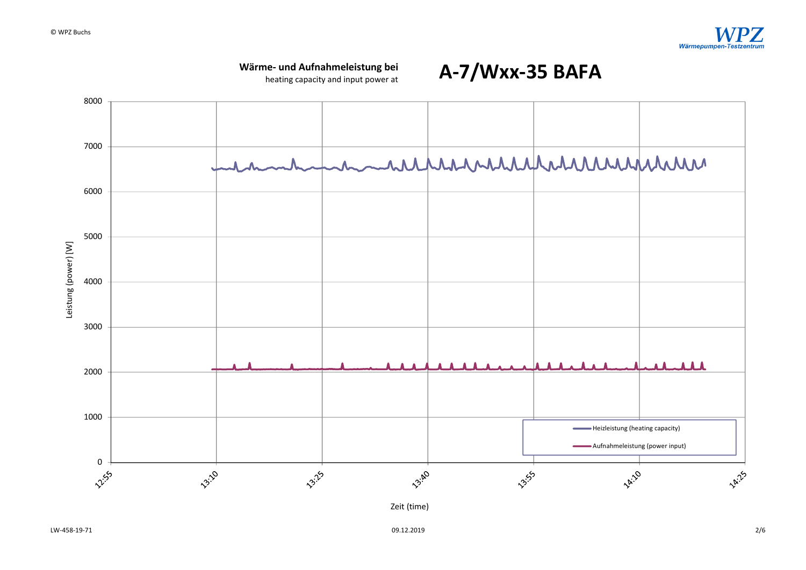## **Wärme‐ und Aufnahmeleistung bei**

heating capacity and input power at



**A‐7/Wxx‐35 BAFA**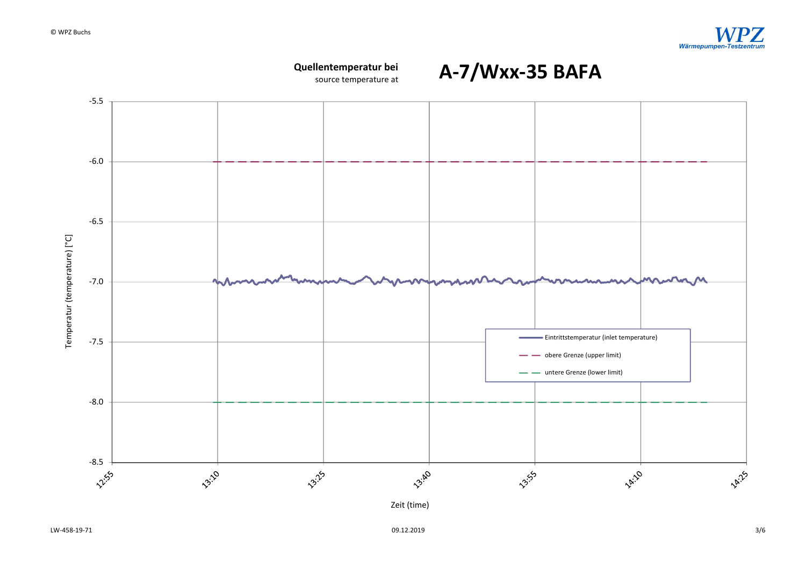

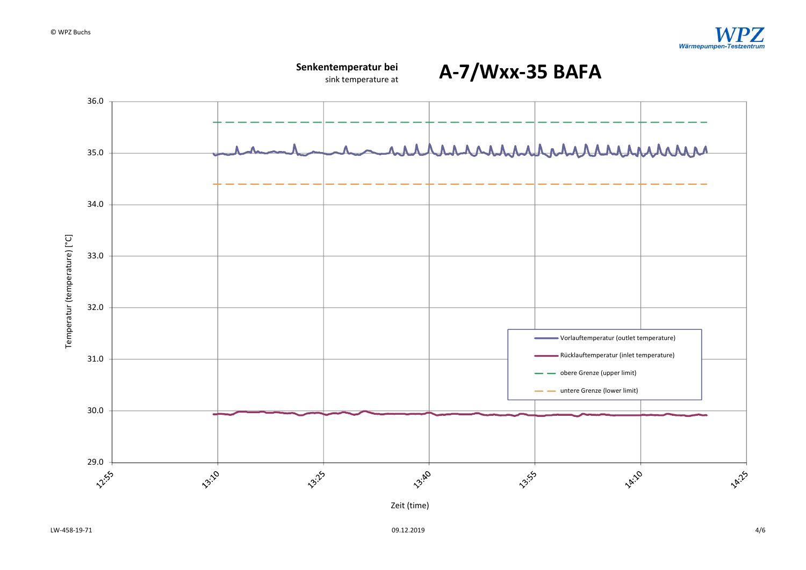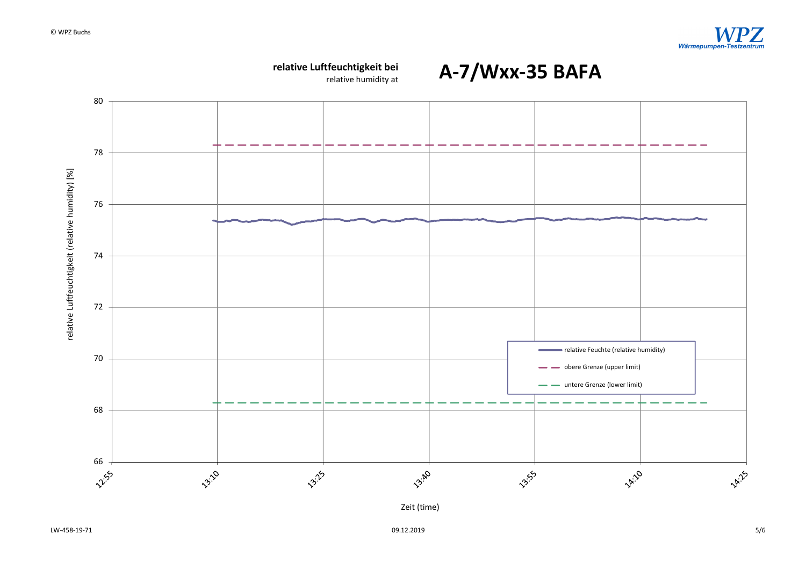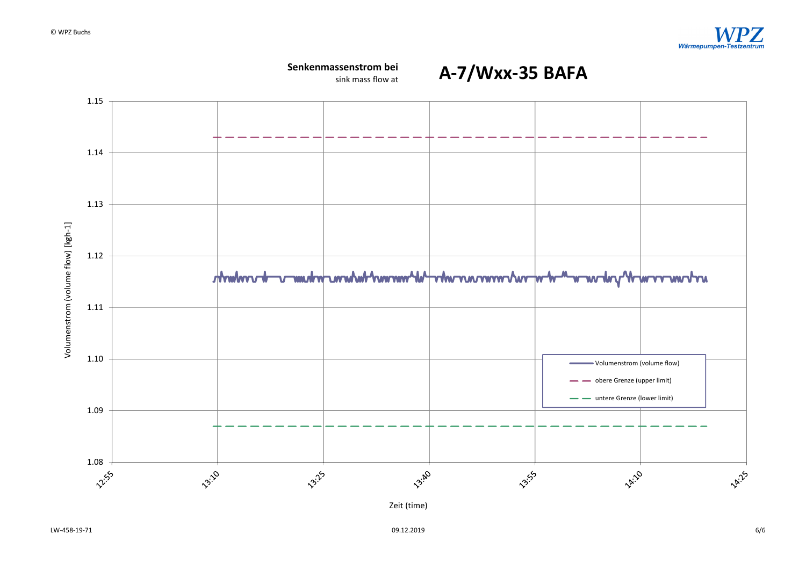

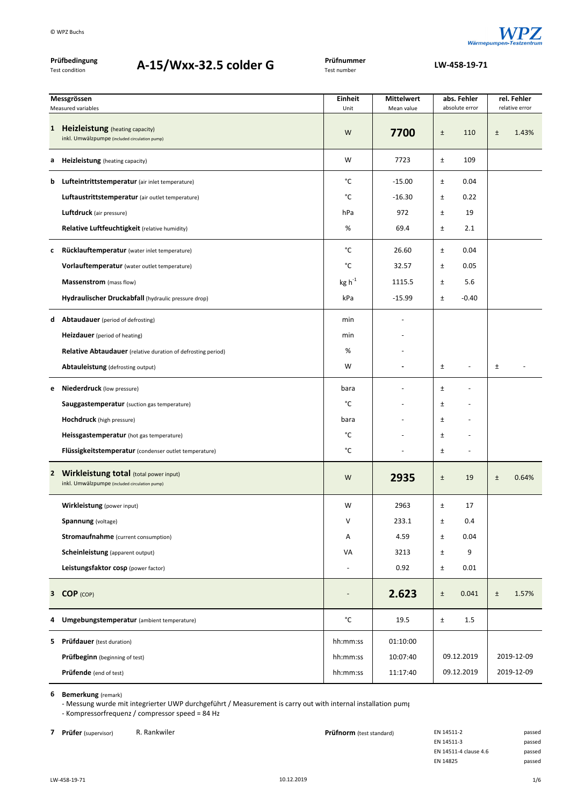

| © WPZ Buchs                                                      |                                                                                           |                           |                                 |       |                               | Wärmepumpen-1 |                               |
|------------------------------------------------------------------|-------------------------------------------------------------------------------------------|---------------------------|---------------------------------|-------|-------------------------------|---------------|-------------------------------|
| Prüfbedingung<br>A-15/Wxx-32.5 colder G<br><b>Test condition</b> |                                                                                           | Prüfnummer<br>Test number | LW-458-19-71                    |       |                               |               |                               |
| Messgrössen<br>Measured variables                                |                                                                                           | <b>Einheit</b><br>Unit    | <b>Mittelwert</b><br>Mean value |       | abs. Fehler<br>absolute error |               | rel. Fehler<br>relative error |
| 1 Heizleistung (heating capacity)                                | inkl. Umwälzpumpe (included circulation pump)                                             | W                         | 7700                            | $\pm$ | 110                           | $\pm$         | 1.43%                         |
| <b>Heizleistung</b> (heating capacity)<br>а                      |                                                                                           | W                         | 7723                            | Ŧ     | 109                           |               |                               |
| b                                                                | Lufteintrittstemperatur (air inlet temperature)                                           | °C                        | $-15.00$                        | Ŧ     | 0.04                          |               |                               |
|                                                                  | Luftaustrittstemperatur (air outlet temperature)                                          | °C                        | $-16.30$                        | Ŧ     | 0.22                          |               |                               |
| <b>Luftdruck</b> (air pressure)                                  |                                                                                           | hPa                       | 972                             | Ŧ     | 19                            |               |                               |
|                                                                  | Relative Luftfeuchtigkeit (relative humidity)                                             | %                         | 69.4                            | $\pm$ | 2.1                           |               |                               |
| c                                                                | Rücklauftemperatur (water inlet temperature)                                              | °C                        | 26.60                           | Ŧ     | 0.04                          |               |                               |
|                                                                  | Vorlauftemperatur (water outlet temperature)                                              | °C                        | 32.57                           | Ŧ     | 0.05                          |               |                               |
| <b>Massenstrom</b> (mass flow)                                   |                                                                                           | $kg h^{-1}$               | 1115.5                          | Ŧ     | 5.6                           |               |                               |
|                                                                  | Hydraulischer Druckabfall (hydraulic pressure drop)                                       | kPa                       | $-15.99$                        | $\pm$ | $-0.40$                       |               |                               |
| <b>Abtaudauer</b> (period of defrosting)<br>d                    |                                                                                           | min                       |                                 |       |                               |               |                               |
| <b>Heizdauer</b> (period of heating)                             |                                                                                           | min                       |                                 |       |                               |               |                               |
|                                                                  | <b>Relative Abtaudauer</b> (relative duration of defrosting period)                       | %                         |                                 |       |                               |               |                               |
| Abtauleistung (defrosting output)                                |                                                                                           | W                         | $\blacksquare$                  | Ŧ     | $\overline{a}$                | $\pm$         |                               |
| Niederdruck (low pressure)<br>е                                  |                                                                                           | bara                      |                                 | Ŧ     | ÷                             |               |                               |
|                                                                  | <b>Sauggastemperatur</b> (suction gas temperature)                                        | °C                        |                                 | Ŧ     |                               |               |                               |
| <b>Hochdruck</b> (high pressure)                                 |                                                                                           | bara                      |                                 | Ŧ     |                               |               |                               |
|                                                                  | Heissgastemperatur (hot gas temperature)                                                  | °C                        |                                 | $\pm$ |                               |               |                               |
|                                                                  | Flüssigkeitstemperatur (condenser outlet temperature)                                     | $^{\circ}{\rm C}$         |                                 | $\pm$ | $\overline{a}$                |               |                               |
|                                                                  | 2 Wirkleistung total (total power input)<br>inkl. Umwälzpumpe (included circulation pump) | W                         | 2935                            | $\pm$ | 19                            | $\pm$         | 0.64%                         |
| Wirkleistung (power input)                                       |                                                                                           | W                         | 2963                            | $\pm$ | 17                            |               |                               |
| <b>Spannung</b> (voltage)                                        |                                                                                           | V                         | 233.1                           | $\pm$ | $0.4\,$                       |               |                               |

‐ Messung wurde mit integrierter UWP durchgeführt / Measurement is carry out with internal installation pump ‐ Kompressorfrequenz / compressor speed = 84 Hz

**5 Prüfdauer** (test duration) **12:10:00 hh:mm:ss** 01:10:00 **Prüfbeginn** (beginning of test) **hh:mm:ss** 10:07:40 **Prüfende** (end of test) **hh:mm:ss** 11:17:40

**Stromaufnahme** (current consumption) **A** 4.59  $\pm$  0.04 **Scheinleistung** (apparent output) **VA** 3213  $\pm$  9 **Leistungsfaktor cosρ** (power factor) ‐ 0.92 ± 0.01

**4 Umgebungstemperatur** (ambient temperature) °C 19.5 ± 1.5

**<sup>3</sup> COP** (COP) ‐ **2.623** ± 0.041 ± 1.57%

**7 Prüfer** (supervisor) R. Rankwiler **Prüfnorm** (test standard) En 1451–1451

| EN 14511-2            | passed |
|-----------------------|--------|
| EN 14511-3            | passed |
| EN 14511-4 clause 4.6 | passed |
| EN 14825              | passed |

09.12.2019

09.12.2019

2019‐12‐09 2019‐12‐09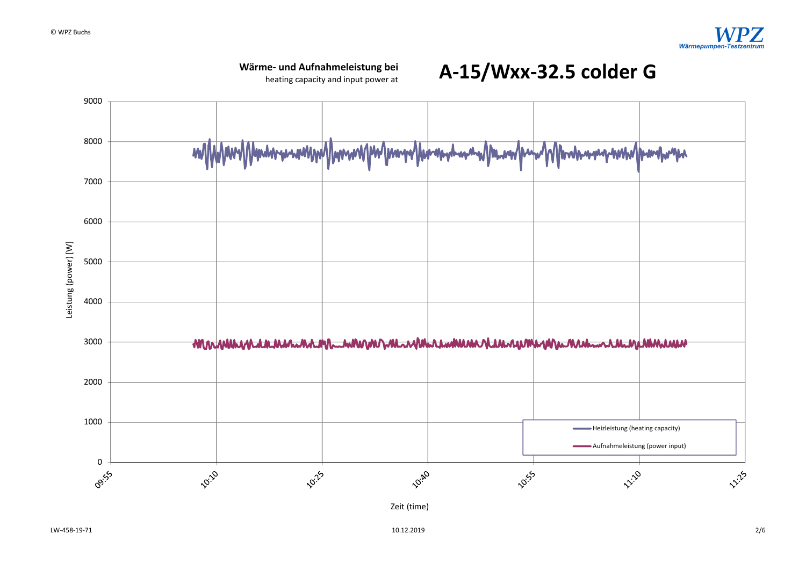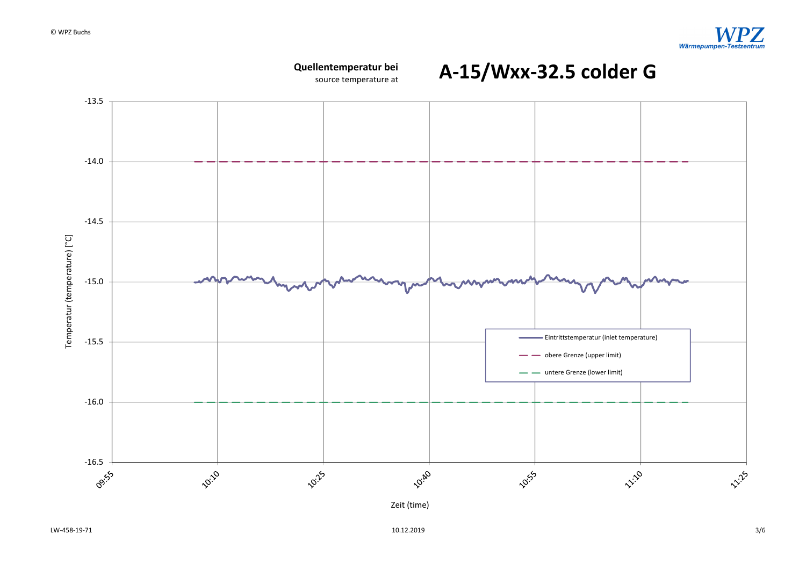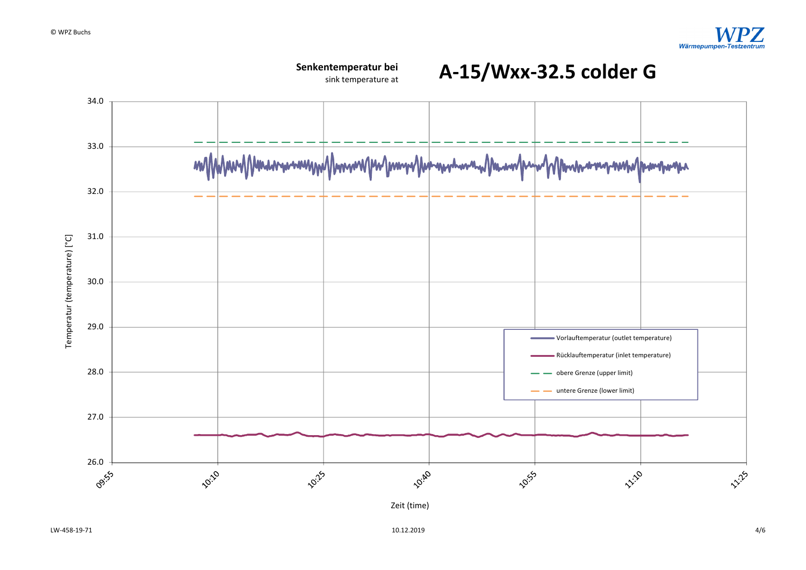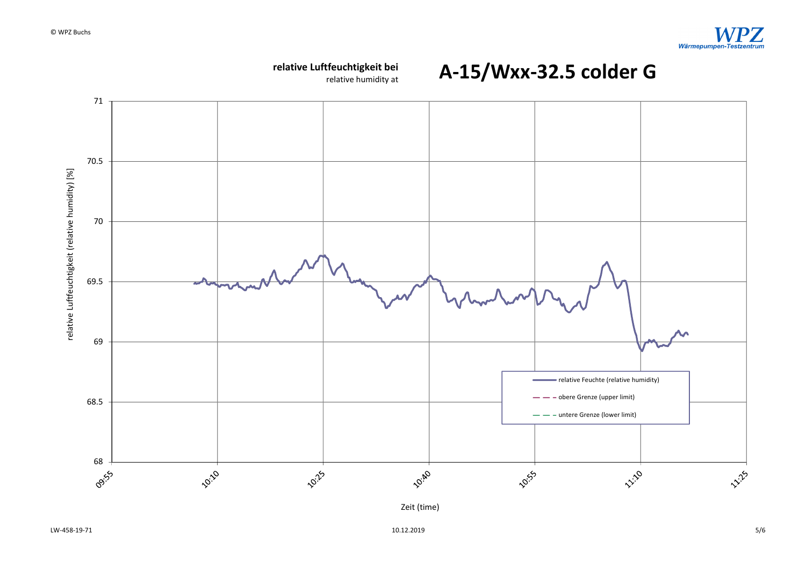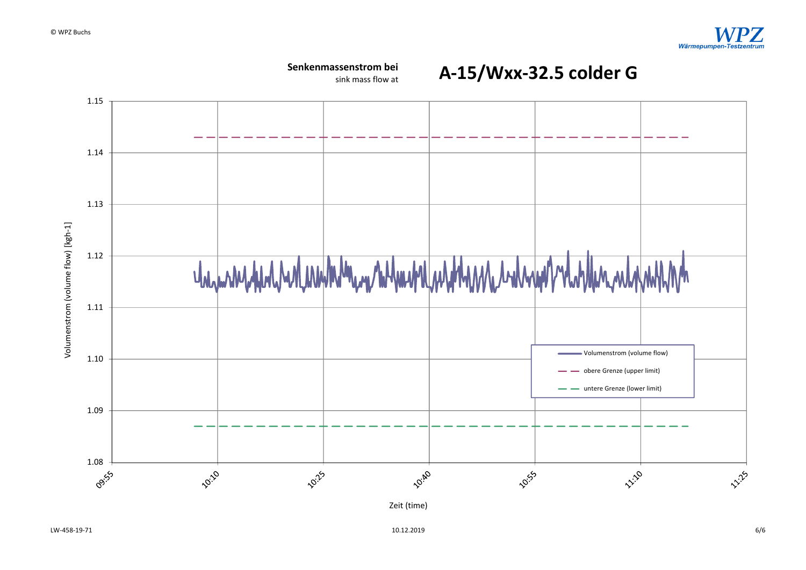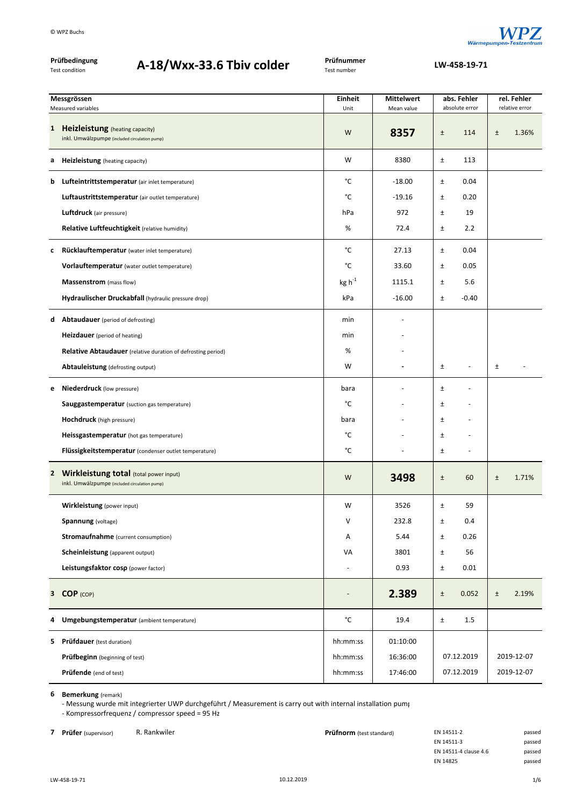

| Prüfbedingung<br>Test condition | A-18/Wxx-33.6 Tbiv colder | Prüfnummer<br>Test number |
|---------------------------------|---------------------------|---------------------------|
|                                 |                           |                           |

**A‐18/Wxx‐33.6 Tbiv colder LW‐458‐19‐<sup>71</sup>**

| Messgrössen<br>Measured variables |                                                                                           | <b>Einheit</b><br>Unit   | <b>Mittelwert</b> |       | abs. Fehler<br>absolute error |       | rel. Fehler<br>relative error |
|-----------------------------------|-------------------------------------------------------------------------------------------|--------------------------|-------------------|-------|-------------------------------|-------|-------------------------------|
|                                   |                                                                                           |                          | Mean value        |       |                               |       |                               |
|                                   | 1 Heizleistung (heating capacity)<br>inkl. Umwälzpumpe (included circulation pump)        | W                        | 8357              | $\pm$ | 114                           | $\pm$ | 1.36%                         |
| а                                 | <b>Heizleistung</b> (heating capacity)                                                    | W                        | 8380              | Ŧ     | 113                           |       |                               |
| b                                 | Lufteintrittstemperatur (air inlet temperature)                                           | °C                       | $-18.00$          | $\pm$ | 0.04                          |       |                               |
|                                   | Luftaustrittstemperatur (air outlet temperature)                                          | °C                       | $-19.16$          | $\pm$ | 0.20                          |       |                               |
|                                   | Luftdruck (air pressure)                                                                  | hPa                      | 972               | $\pm$ | 19                            |       |                               |
|                                   | Relative Luftfeuchtigkeit (relative humidity)                                             | %                        | 72.4              | $\pm$ | 2.2                           |       |                               |
| с                                 | Rücklauftemperatur (water inlet temperature)                                              | °C                       | 27.13             | Ŧ     | 0.04                          |       |                               |
|                                   | Vorlauftemperatur (water outlet temperature)                                              | °C                       | 33.60             | Ŧ     | 0.05                          |       |                               |
|                                   | Massenstrom (mass flow)                                                                   | $kg h^{-1}$              | 1115.1            | $\pm$ | 5.6                           |       |                               |
|                                   | Hydraulischer Druckabfall (hydraulic pressure drop)                                       | kPa                      | $-16.00$          | $\pm$ | $-0.40$                       |       |                               |
|                                   | <b>d</b> Abtaudauer (period of defrosting)                                                | min                      |                   |       |                               |       |                               |
|                                   | <b>Heizdauer</b> (period of heating)                                                      | min                      |                   |       |                               |       |                               |
|                                   | <b>Relative Abtaudauer</b> (relative duration of defrosting period)                       | %                        |                   |       |                               |       |                               |
|                                   | Abtauleistung (defrosting output)                                                         | W                        |                   | $\pm$ | ٠                             | $\pm$ |                               |
| е                                 | Niederdruck (low pressure)                                                                | bara                     |                   | $\pm$ |                               |       |                               |
|                                   | <b>Sauggastemperatur</b> (suction gas temperature)                                        | °C                       |                   | $\pm$ |                               |       |                               |
|                                   | <b>Hochdruck</b> (high pressure)                                                          | bara                     |                   | $\pm$ |                               |       |                               |
|                                   | Heissgastemperatur (hot gas temperature)                                                  | °C                       |                   | $\pm$ |                               |       |                               |
|                                   | Flüssigkeitstemperatur (condenser outlet temperature)                                     | °C                       |                   | $\pm$ | $\overline{a}$                |       |                               |
|                                   | 2 Wirkleistung total (total power input)<br>inkl. Umwälzpumpe (included circulation pump) | W                        | 3498              | $\pm$ | 60                            | Ŧ     | 1.71%                         |
|                                   | Wirkleistung (power input)                                                                | W                        | 3526              | $\pm$ | 59                            |       |                               |
|                                   | <b>Spannung</b> (voltage)                                                                 | v                        | 232.8             | $\pm$ | $0.4\,$                       |       |                               |
|                                   | <b>Stromaufnahme</b> (current consumption)                                                | Α                        | 5.44              | $\pm$ | 0.26                          |       |                               |
|                                   | Scheinleistung (apparent output)                                                          | VA                       | 3801              | $\pm$ | 56                            |       |                               |
|                                   | Leistungsfaktor cosp (power factor)                                                       | $\overline{\phantom{a}}$ | 0.93              | $\pm$ | 0.01                          |       |                               |
|                                   | 3 COP (COP)                                                                               |                          | 2.389             | $\pm$ | 0.052                         | $\pm$ | 2.19%                         |
| 4                                 | Umgebungstemperatur (ambient temperature)                                                 | $^{\circ}$ C             | 19.4              | $\pm$ | 1.5                           |       |                               |
| 5.                                | <b>Prüfdauer</b> (test duration)                                                          | hh:mm:ss                 | 01:10:00          |       |                               |       |                               |
|                                   | <b>Prüfbeginn</b> (beginning of test)                                                     | hh:mm:ss                 | 16:36:00          |       | 07.12.2019                    |       | 2019-12-07                    |
|                                   | Prüfende (end of test)                                                                    | hh:mm:ss                 | 17:46:00          |       | 07.12.2019                    |       | 2019-12-07                    |

**6 Bemerkung** (remark)

‐ Messung wurde mit integrierter UWP durchgeführt / Measurement is carry out with internal installation pump ‐ Kompressorfrequenz / compressor speed = 95 Hz

**7 Prüfer** (supervisor) R. Rankwiler **Prüfnorm** (test standard) EN 14511‐2 passed en and passed passed **Prüfnorm** (test standard) EN 14511‐3 EN 14511-3 EN 14511‐4 clause 4.6 passed EN 14825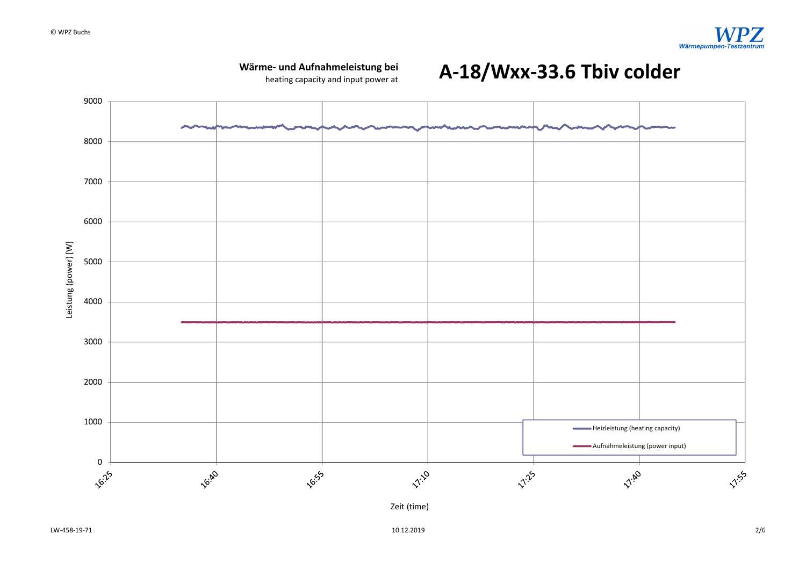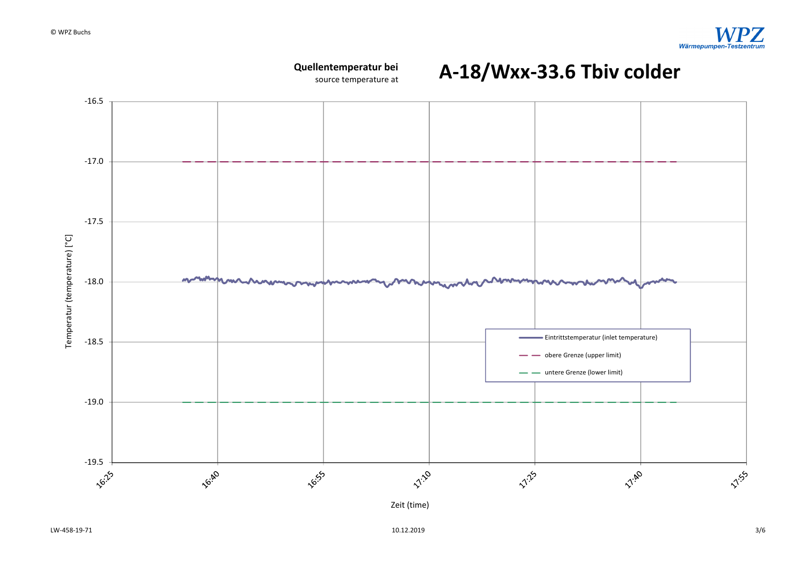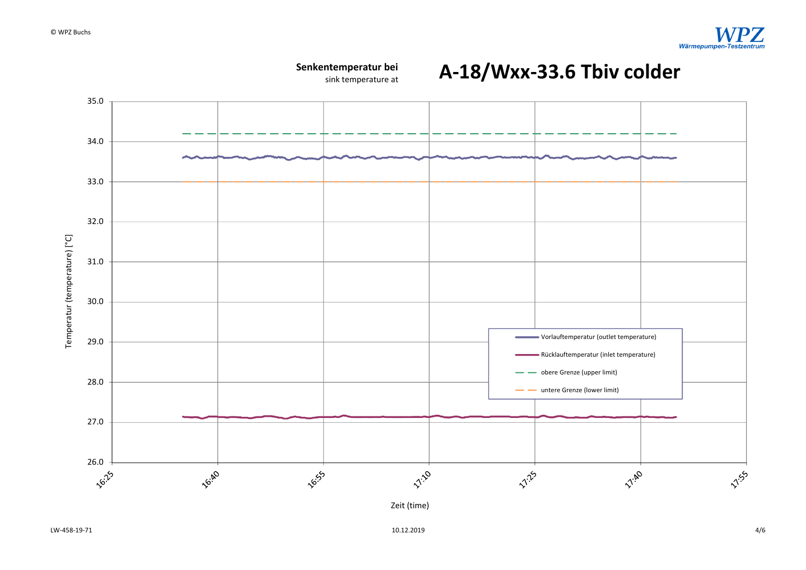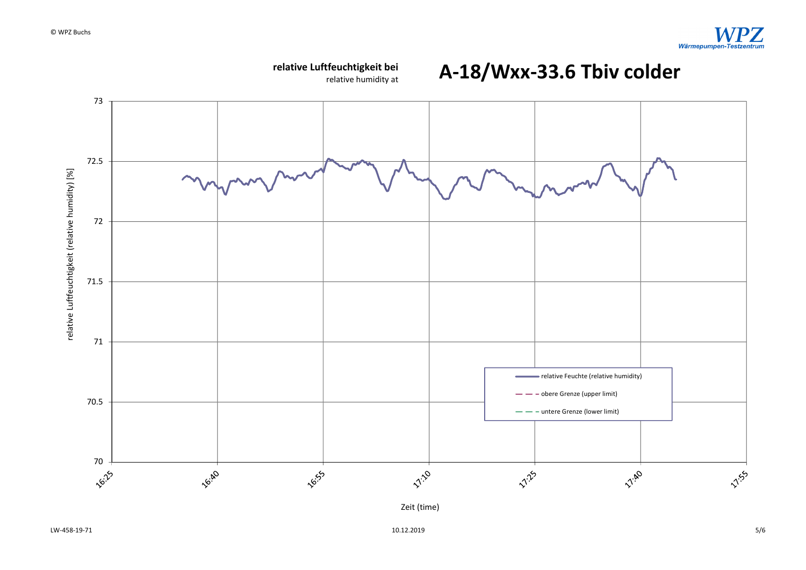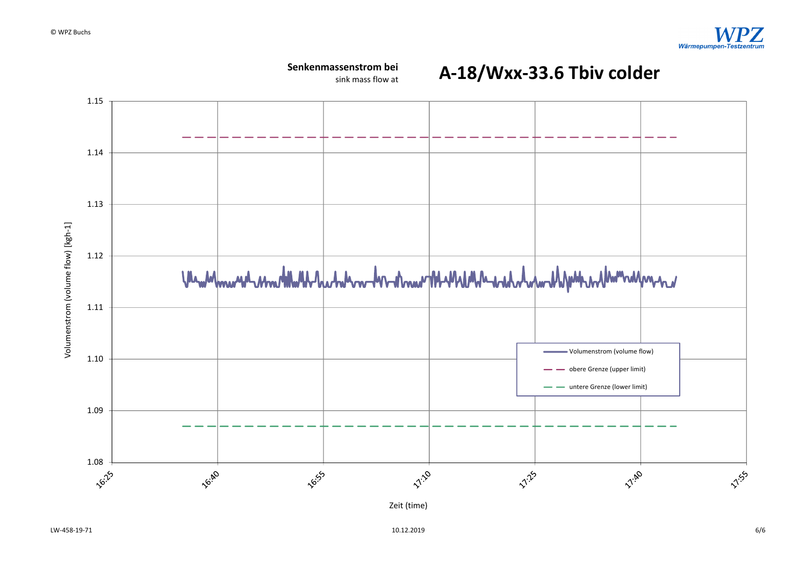

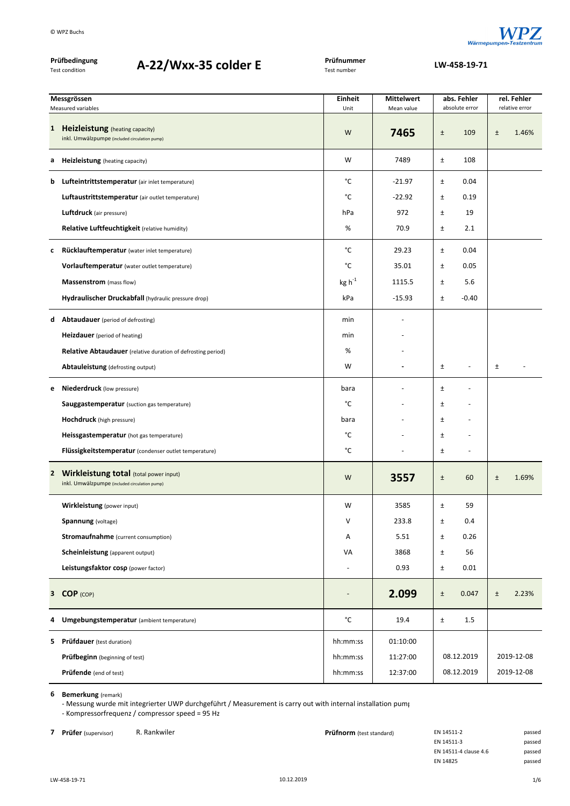

| Prüfbedingung<br>A-22/Wxx-35 colder E<br>Test condition |                                                                                           | Prüfnummer<br>Test number | LW-458-19-71      |       |                          |                |            |  |
|---------------------------------------------------------|-------------------------------------------------------------------------------------------|---------------------------|-------------------|-------|--------------------------|----------------|------------|--|
|                                                         | Messgrössen                                                                               | <b>Einheit</b>            | <b>Mittelwert</b> |       | abs. Fehler              | rel. Fehler    |            |  |
|                                                         | Measured variables                                                                        | Unit                      | Mean value        |       | absolute error           | relative error |            |  |
| 1                                                       | <b>Heizleistung</b> (heating capacity)<br>inkl. Umwälzpumpe (included circulation pump)   | W                         | 7465              | $\pm$ | 109                      | $\pm$          | 1.46%      |  |
| а                                                       | <b>Heizleistung</b> (heating capacity)                                                    | W                         | 7489              | $\pm$ | 108                      |                |            |  |
| b                                                       | Lufteintrittstemperatur (air inlet temperature)                                           | °C                        | $-21.97$          | Ŧ     | 0.04                     |                |            |  |
|                                                         | Luftaustrittstemperatur (air outlet temperature)                                          | °C                        | $-22.92$          | $\pm$ | 0.19                     |                |            |  |
|                                                         | <b>Luftdruck</b> (air pressure)                                                           | hPa                       | 972               | $\pm$ | 19                       |                |            |  |
|                                                         | Relative Luftfeuchtigkeit (relative humidity)                                             | %                         | 70.9              | $\pm$ | 2.1                      |                |            |  |
| c                                                       | Rücklauftemperatur (water inlet temperature)                                              | °C                        | 29.23             | $\pm$ | 0.04                     |                |            |  |
|                                                         | Vorlauftemperatur (water outlet temperature)                                              | °C                        | 35.01             | $\pm$ | 0.05                     |                |            |  |
|                                                         | Massenstrom (mass flow)                                                                   | $\text{kg h}^{\text{-1}}$ | 1115.5            | Ŧ     | 5.6                      |                |            |  |
|                                                         | Hydraulischer Druckabfall (hydraulic pressure drop)                                       | kPa                       | $-15.93$          | $\pm$ | $-0.40$                  |                |            |  |
| d                                                       | <b>Abtaudauer</b> (period of defrosting)                                                  | min                       |                   |       |                          |                |            |  |
|                                                         | Heizdauer (period of heating)                                                             | min                       |                   |       |                          |                |            |  |
|                                                         | <b>Relative Abtaudauer</b> (relative duration of defrosting period)                       | %                         |                   |       |                          |                |            |  |
|                                                         | Abtauleistung (defrosting output)                                                         | W                         |                   | Ŧ     | $\overline{a}$           | $\pm$          |            |  |
| e                                                       | <b>Niederdruck</b> (low pressure)                                                         | bara                      |                   | Ŧ     |                          |                |            |  |
|                                                         | <b>Sauggastemperatur</b> (suction gas temperature)                                        | °C                        |                   | $\pm$ |                          |                |            |  |
|                                                         | <b>Hochdruck</b> (high pressure)                                                          | bara                      |                   | $\pm$ |                          |                |            |  |
|                                                         | Heissgastemperatur (hot gas temperature)                                                  | °C                        |                   | $\pm$ |                          |                |            |  |
|                                                         | Flüssigkeitstemperatur (condenser outlet temperature)                                     | °C                        |                   | $\pm$ | $\overline{\phantom{a}}$ |                |            |  |
|                                                         | 2 Wirkleistung total (total power input)<br>inkl. Umwälzpumpe (included circulation pump) | W                         | 3557              | $\pm$ | 60                       | Ŧ              | 1.69%      |  |
|                                                         | Wirkleistung (power input)                                                                | W                         | 3585              | $\pm$ | 59                       |                |            |  |
|                                                         | <b>Spannung</b> (voltage)                                                                 | V                         | 233.8             | Ŧ     | 0.4                      |                |            |  |
|                                                         | <b>Stromaufnahme</b> (current consumption)                                                | Α                         | 5.51              | $\pm$ | 0.26                     |                |            |  |
|                                                         | <b>Scheinleistung</b> (apparent output)                                                   | VA                        | 3868              | $\pm$ | 56                       |                |            |  |
|                                                         | Leistungsfaktor cosp (power factor)                                                       |                           | 0.93              | $\pm$ | 0.01                     |                |            |  |
|                                                         | 3 COP (COP)                                                                               | $\overline{a}$            | 2.099             | $\pm$ | 0.047                    | $\pm$          | 2.23%      |  |
| 4                                                       | Umgebungstemperatur (ambient temperature)                                                 | °C                        | 19.4              | $\pm$ | 1.5                      |                |            |  |
|                                                         | <b>5</b> Prüfdauer (test duration)                                                        | hh:mm:ss                  | 01:10:00          |       |                          |                |            |  |
|                                                         | <b>Prüfbeginn</b> (beginning of test)                                                     | hh:mm:ss                  | 11:27:00          |       | 08.12.2019               |                | 2019-12-08 |  |
|                                                         | Prüfende (end of test)                                                                    | hh:mm:ss                  | 12:37:00          |       | 08.12.2019               |                | 2019-12-08 |  |

‐ Messung wurde mit integrierter UWP durchgeführt / Measurement is carry out with internal installation pump ‐ Kompressorfrequenz / compressor speed = 95 Hz

**7 Prüfer** (supervisor) R. Rankwiler **Prüfnorm** (test standard) EN 14511‐2 passed en and passed passed **Prüfnorm** (test standard) EN 14511‐3 EN 14511-3 EN 14511‐4 clause 4.6 passed EN 14825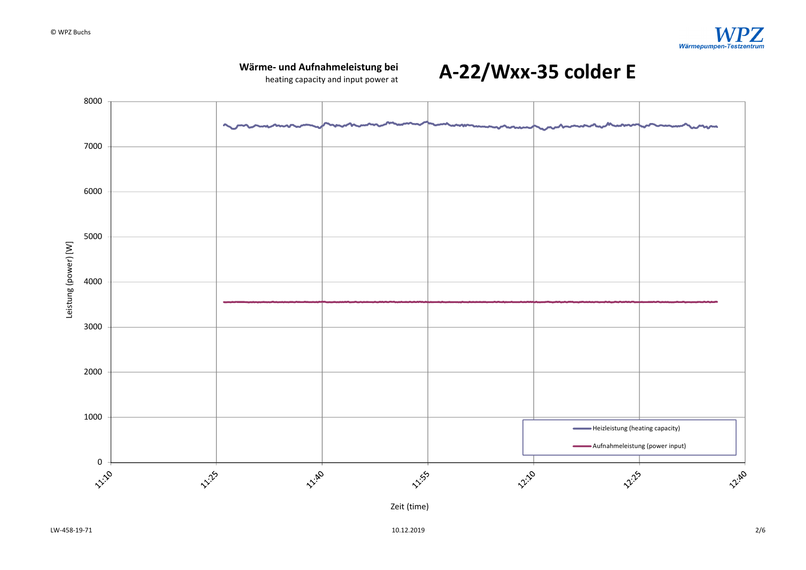

**Wärme‐ und Aufnahmeleistung bei**

Zeit (time)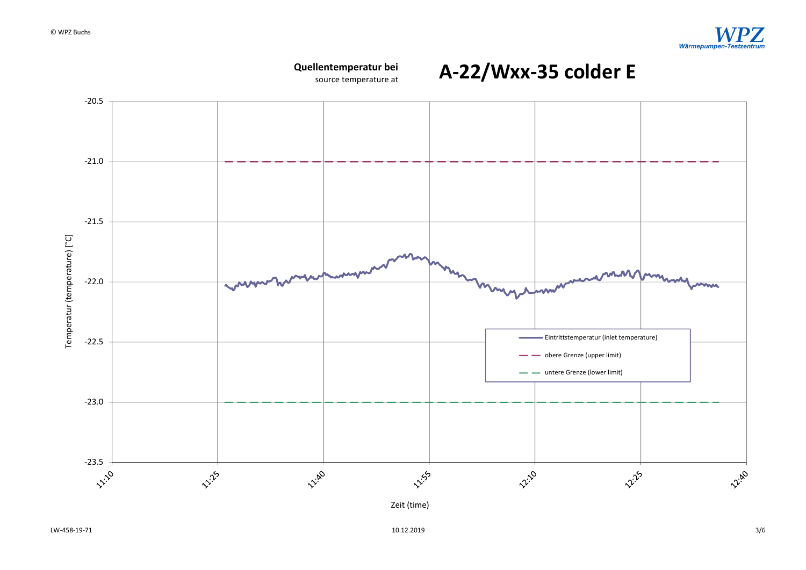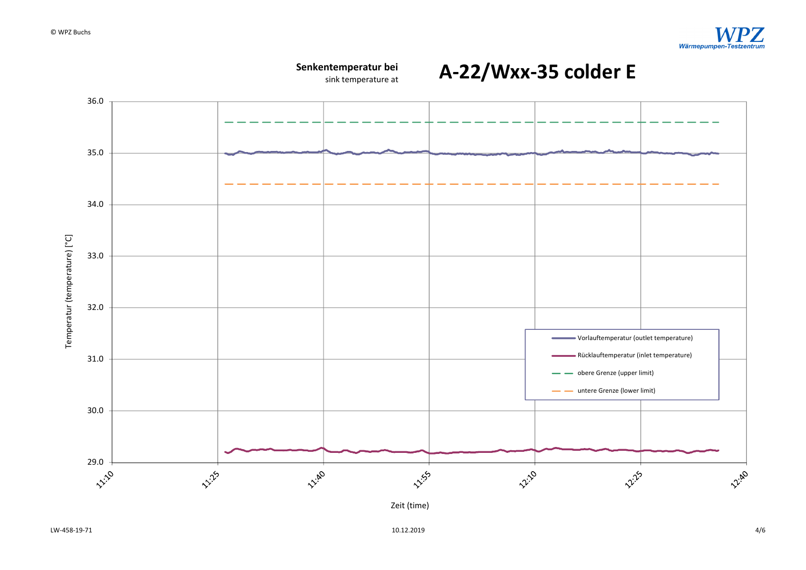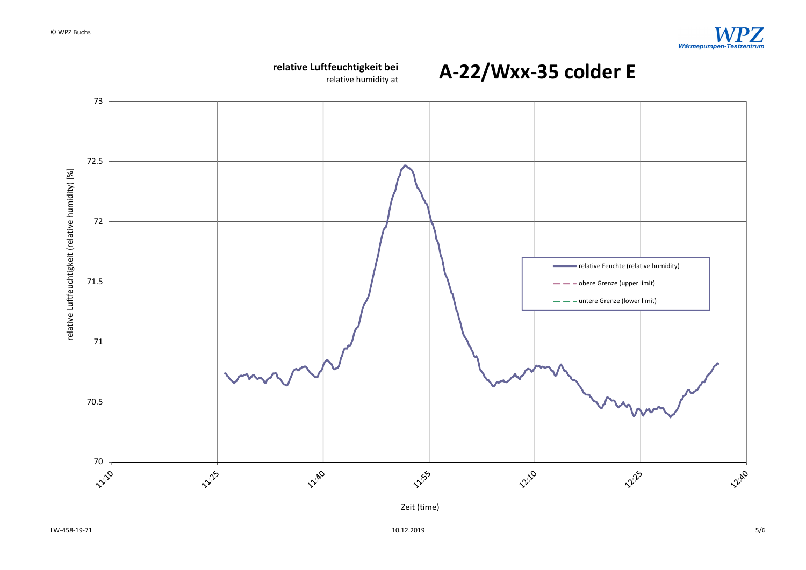

 $10.12.2019$  5/6